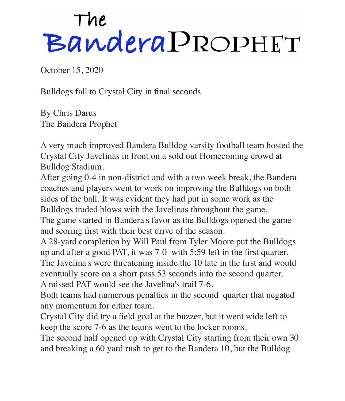## The<br>Bandera PROPHET

October 15, 2020

Bulldogs fall to Crystal City in final seconds

By Chris Darus The Bandera Prophet

A very much improved Bandera Bulldog varsity football team hosted the Crystal City Javelinas in front on a sold out Homecoming crowd at Bulldog Stadium.

After going 0-4 in non-district and with a two week break, the Bandera coaches and players went to work on improving the Bulldogs on both sides of the ball. It was evident they had put in some work as the Bulldogs traded blows with the Javelinas throughout the game.

The game started in Bandera's favor as the Bulldogs opened the game and scoring first with their best drive of the season.

A 28-yard completion by Will Paul from Tyler Moore put the Bulldogs up and after a good PAT, it was 7-0 with 5:59 left in the first quarter. The Javelina's were threatening inside the 10 late in the first and would eventually score on a short pass 53 seconds into the second quarter. A missed PAT would see the Javelina's trail 7-6.

Both teams had numerous penalties in the second quarter that negated any momentum for either team.

Crystal City did try a field goal at the buzzer, but it went wide left to keep the score 7-6 as the teams went to the locker rooms.

The second half opened up with Crystal City starting from their own 30 and breaking a 60 yard rush to get to the Bandera 10, but the Bulldog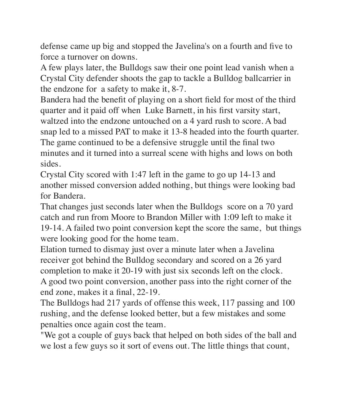defense came up big and stopped the Javelina's on a fourth and five to force a turnover on downs.

A few plays later, the Bulldogs saw their one point lead vanish when a Crystal City defender shoots the gap to tackle a Bulldog ballcarrier in the endzone for a safety to make it, 8-7.

Bandera had the benefit of playing on a short field for most of the third quarter and it paid off when Luke Barnett, in his first varsity start, waltzed into the endzone untouched on a 4 yard rush to score. A bad snap led to a missed PAT to make it 13-8 headed into the fourth quarter. The game continued to be a defensive struggle until the final two minutes and it turned into a surreal scene with highs and lows on both sides.

Crystal City scored with 1:47 left in the game to go up 14-13 and another missed conversion added nothing, but things were looking bad for Bandera.

That changes just seconds later when the Bulldogs score on a 70 yard catch and run from Moore to Brandon Miller with 1:09 left to make it 19-14. A failed two point conversion kept the score the same, but things were looking good for the home team.

Elation turned to dismay just over a minute later when a Javelina receiver got behind the Bulldog secondary and scored on a 26 yard completion to make it 20-19 with just six seconds left on the clock. A good two point conversion, another pass into the right corner of the end zone, makes it a final, 22-19.

The Bulldogs had 217 yards of offense this week, 117 passing and 100 rushing, and the defense looked better, but a few mistakes and some penalties once again cost the team.

"We got a couple of guys back that helped on both sides of the ball and we lost a few guys so it sort of evens out. The little things that count,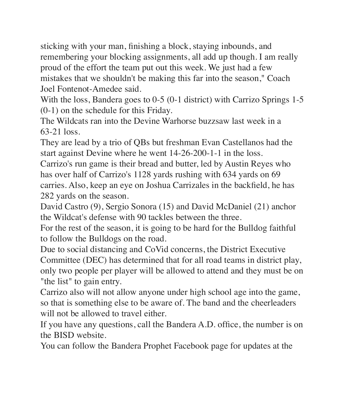sticking with your man, finishing a block, staying inbounds, and remembering your blocking assignments, all add up though. I am really proud of the effort the team put out this week. We just had a few mistakes that we shouldn't be making this far into the season," Coach Joel Fontenot-Amedee said.

With the loss, Bandera goes to 0-5 (0-1 district) with Carrizo Springs 1-5 (0-1) on the schedule for this Friday.

The Wildcats ran into the Devine Warhorse buzzsaw last week in a 63-21 loss.

They are lead by a trio of QBs but freshman Evan Castellanos had the start against Devine where he went 14-26-200-1-1 in the loss.

Carrizo's run game is their bread and butter, led by Austin Reyes who has over half of Carrizo's 1128 yards rushing with 634 yards on 69 carries. Also, keep an eye on Joshua Carrizales in the backfield, he has 282 yards on the season.

David Castro (9), Sergio Sonora (15) and David McDaniel (21) anchor the Wildcat's defense with 90 tackles between the three.

For the rest of the season, it is going to be hard for the Bulldog faithful to follow the Bulldogs on the road.

Due to social distancing and CoVid concerns, the District Executive Committee (DEC) has determined that for all road teams in district play, only two people per player will be allowed to attend and they must be on "the list" to gain entry.

Carrizo also will not allow anyone under high school age into the game, so that is something else to be aware of. The band and the cheerleaders will not be allowed to travel either.

If you have any questions, call the Bandera A.D. office, the number is on the BISD website.

You can follow the Bandera Prophet Facebook page for updates at the